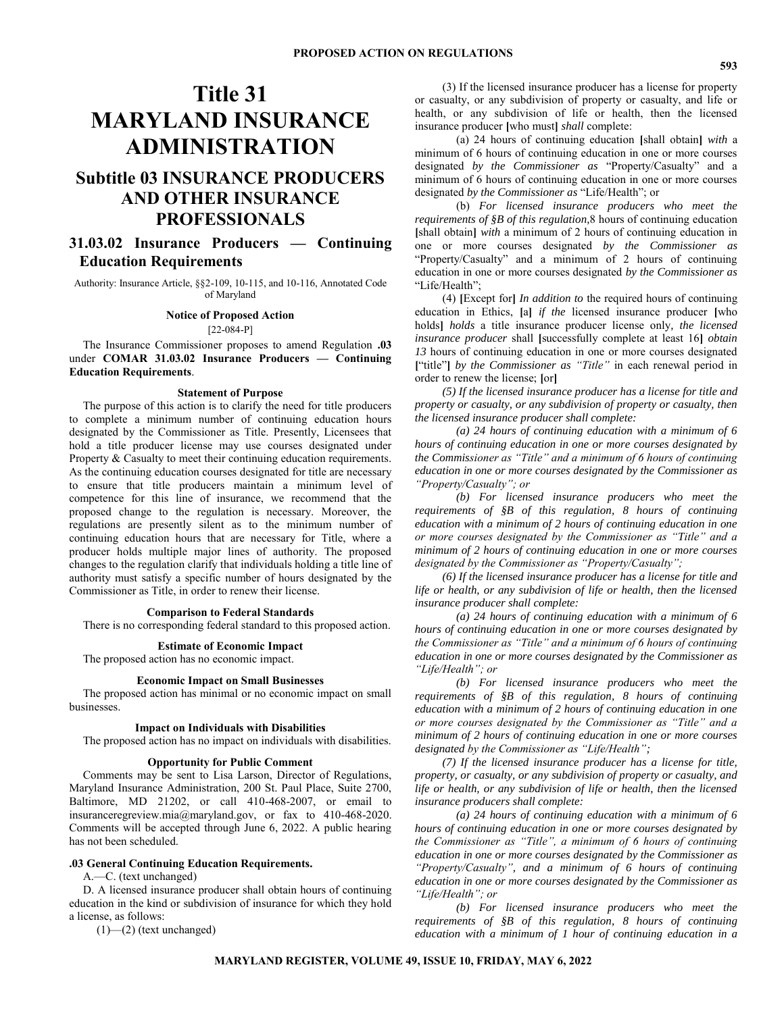# **Title 31 MARYLAND INSURANCE ADMINISTRATION**

## **Subtitle 03 INSURANCE PRODUCERS AND OTHER INSURANCE PROFESSIONALS**

### **31.03.02 Insurance Producers — Continuing Education Requirements**

Authority: Insurance Article, §§2-109, 10-115, and 10-116, Annotated Code of Maryland

#### **Notice of Proposed Action** [22-084-P]

The Insurance Commissioner proposes to amend Regulation **.03** under **COMAR 31.03.02 Insurance Producers — Continuing Education Requirements**.

#### **Statement of Purpose**

The purpose of this action is to clarify the need for title producers to complete a minimum number of continuing education hours designated by the Commissioner as Title. Presently, Licensees that hold a title producer license may use courses designated under Property & Casualty to meet their continuing education requirements. As the continuing education courses designated for title are necessary to ensure that title producers maintain a minimum level of competence for this line of insurance, we recommend that the proposed change to the regulation is necessary. Moreover, the regulations are presently silent as to the minimum number of continuing education hours that are necessary for Title, where a producer holds multiple major lines of authority. The proposed changes to the regulation clarify that individuals holding a title line of authority must satisfy a specific number of hours designated by the Commissioner as Title, in order to renew their license.

#### **Comparison to Federal Standards**

There is no corresponding federal standard to this proposed action.

#### **Estimate of Economic Impact**

The proposed action has no economic impact.

#### **Economic Impact on Small Businesses**

The proposed action has minimal or no economic impact on small businesses.

#### **Impact on Individuals with Disabilities**

The proposed action has no impact on individuals with disabilities.

#### **Opportunity for Public Comment**

Comments may be sent to Lisa Larson, Director of Regulations, Maryland Insurance Administration, 200 St. Paul Place, Suite 2700, Baltimore, MD 21202, or call 410-468-2007, or email to insuranceregreview.mia@maryland.gov, or fax to 410-468-2020. Comments will be accepted through June 6, 2022. A public hearing has not been scheduled.

#### **.03 General Continuing Education Requirements.**

A.—C. (text unchanged)

D. A licensed insurance producer shall obtain hours of continuing education in the kind or subdivision of insurance for which they hold a license, as follows:

(1)—(2) (text unchanged)

(3) If the licensed insurance producer has a license for property or casualty, or any subdivision of property or casualty, and life or health, or any subdivision of life or health, then the licensed insurance producer **[**who must**]** *shall* complete:

(a) 24 hours of continuing education **[**shall obtain**]** *with* a minimum of 6 hours of continuing education in one or more courses designated *by the Commissioner as* "Property/Casualty" and a minimum of 6 hours of continuing education in one or more courses designated *by the Commissioner as* "Life/Health"; or

(b) *For licensed insurance producers who meet the requirements of §B of this regulation,*8 hours of continuing education **[**shall obtain**]** *with* a minimum of 2 hours of continuing education in one or more courses designated *by the Commissioner as*  "Property/Casualty" and a minimum of 2 hours of continuing education in one or more courses designated *by the Commissioner as* "Life/Health";

(4) **[**Except for**]** *In addition to* the required hours of continuing education in Ethics, **[**a**]** *if the* licensed insurance producer **[**who holds**]** *holds* a title insurance producer license only*, the licensed insurance producer* shall **[**successfully complete at least 16**]** *obtain 13* hours of continuing education in one or more courses designated **[**"title"**]** *by the Commissioner as "Title"* in each renewal period in order to renew the license; **[**or**]**

*(5) If the licensed insurance producer has a license for title and property or casualty, or any subdivision of property or casualty, then the licensed insurance producer shall complete:*

*(a) 24 hours of continuing education with a minimum of 6 hours of continuing education in one or more courses designated by the Commissioner as "Title" and a minimum of 6 hours of continuing education in one or more courses designated by the Commissioner as "Property/Casualty"; or*

*(b) For licensed insurance producers who meet the requirements of §B of this regulation, 8 hours of continuing education with a minimum of 2 hours of continuing education in one or more courses designated by the Commissioner as "Title" and a minimum of 2 hours of continuing education in one or more courses designated by the Commissioner as "Property/Casualty";*

*(6) If the licensed insurance producer has a license for title and life or health, or any subdivision of life or health, then the licensed insurance producer shall complete:*

*(a) 24 hours of continuing education with a minimum of 6 hours of continuing education in one or more courses designated by the Commissioner as "Title" and a minimum of 6 hours of continuing education in one or more courses designated by the Commissioner as "Life/Health"; or*

*(b) For licensed insurance producers who meet the requirements of §B of this regulation, 8 hours of continuing education with a minimum of 2 hours of continuing education in one or more courses designated by the Commissioner as "Title" and a minimum of 2 hours of continuing education in one or more courses designated by the Commissioner as "Life/Health";*

*(7) If the licensed insurance producer has a license for title, property, or casualty, or any subdivision of property or casualty, and life or health, or any subdivision of life or health, then the licensed insurance producers shall complete:*

*(a) 24 hours of continuing education with a minimum of 6 hours of continuing education in one or more courses designated by the Commissioner as "Title", a minimum of 6 hours of continuing education in one or more courses designated by the Commissioner as "Property/Casualty", and a minimum of 6 hours of continuing education in one or more courses designated by the Commissioner as "Life/Health"; or*

*(b) For licensed insurance producers who meet the requirements of §B of this regulation, 8 hours of continuing education with a minimum of 1 hour of continuing education in a*